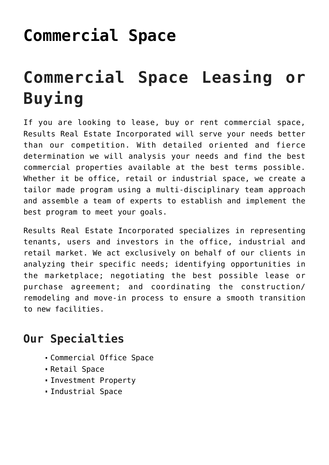## **[Commercial Space](https://resultsrealestateinc.com/commercial-space/)**

# **Commercial Space Leasing or Buying**

If you are looking to lease, buy or rent commercial space, Results Real Estate Incorporated will serve your needs better than our competition. With detailed oriented and fierce determination we will analysis your needs and find the best commercial properties available at the best terms possible. Whether it be office, retail or industrial space, we create a tailor made program using a multi-disciplinary team approach and assemble a team of experts to establish and implement the best program to meet your goals.

Results Real Estate Incorporated specializes in representing tenants, users and investors in the office, industrial and retail market. We act exclusively on behalf of our clients in analyzing their specific needs; identifying opportunities in the marketplace; negotiating the best possible lease or purchase agreement; and coordinating the construction/ remodeling and move-in process to ensure a smooth transition to new facilities.

## **Our Specialties**

- Commercial Office Space
- Retail Space
- Investment Property
- Industrial Space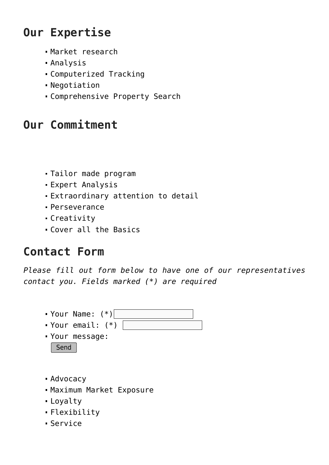## **Our Expertise**

- Market research
- Analysis
- Computerized Tracking
- Negotiation
- Comprehensive Property Search

## **Our Commitment**

- Tailor made program
- Expert Analysis
- Extraordinary attention to detail
- Perseverance
- Creativity
- Cover all the Basics

## **Contact Form**

*Please fill out form below to have one of our representatives contact you. Fields marked (\*) are required*



- Loyalty
- Flexibility
- Service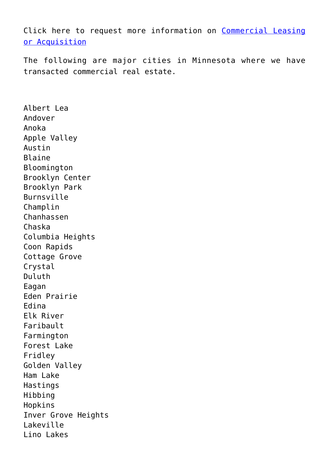Click here to request more information on [Commercial Leasing](https://resultsrealestateinc.com/contact) [or Acquisition](https://resultsrealestateinc.com/contact)

The following are major cities in Minnesota where we have transacted commercial real estate.

Albert Lea Andover Anoka Apple Valley Austin Blaine Bloomington Brooklyn Center Brooklyn Park Burnsville Champlin Chanhassen Chaska Columbia Heights Coon Rapids Cottage Grove Crystal Duluth Eagan Eden Prairie Edina Elk River Faribault Farmington Forest Lake Fridley Golden Valley Ham Lake Hastings Hibbing Hopkins Inver Grove Heights Lakeville Lino Lakes